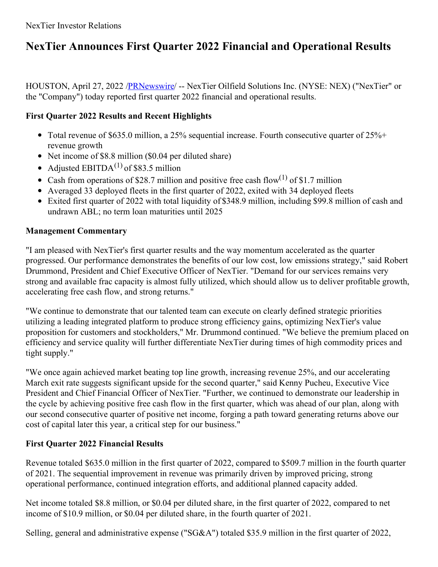# **NexTier Announces First Quarter 2022 Financial and Operational Results**

HOUSTON, April 27, 2022 [/PRNewswire](http://www.prnewswire.com/)/ -- NexTier Oilfield Solutions Inc. (NYSE: NEX) ("NexTier" or the "Company") today reported first quarter 2022 financial and operational results.

## **First Quarter 2022 Results and Recent Highlights**

- Total revenue of \$635.0 million, a 25% sequential increase. Fourth consecutive quarter of  $25\% +$ revenue growth
- Net income of \$8.8 million (\$0.04 per diluted share)
- Adjusted  $EBITDA<sup>(1)</sup>$  of \$83.5 million
- Cash from operations of \$28.7 million and positive free cash flow<sup>(1)</sup> of \$1.7 million
- Averaged 33 deployed fleets in the first quarter of 2022, exited with 34 deployed fleets
- Exited first quarter of 2022 with total liquidity of \$348.9 million, including \$99.8 million of cash and undrawn ABL; no term loan maturities until 2025

## **Management Commentary**

"I am pleased with NexTier's first quarter results and the way momentum accelerated as the quarter progressed. Our performance demonstrates the benefits of our low cost, low emissions strategy," said Robert Drummond, President and Chief Executive Officer of NexTier. "Demand for our services remains very strong and available frac capacity is almost fully utilized, which should allow us to deliver profitable growth, accelerating free cash flow, and strong returns."

"We continue to demonstrate that our talented team can execute on clearly defined strategic priorities utilizing a leading integrated platform to produce strong efficiency gains, optimizing NexTier's value proposition for customers and stockholders," Mr. Drummond continued. "We believe the premium placed on efficiency and service quality will further differentiate NexTier during times of high commodity prices and tight supply."

"We once again achieved market beating top line growth, increasing revenue 25%, and our accelerating March exit rate suggests significant upside for the second quarter," said Kenny Pucheu, Executive Vice President and Chief Financial Officer of NexTier. "Further, we continued to demonstrate our leadership in the cycle by achieving positive free cash flow in the first quarter, which was ahead of our plan, along with our second consecutive quarter of positive net income, forging a path toward generating returns above our cost of capital later this year, a critical step for our business."

## **First Quarter 2022 Financial Results**

Revenue totaled \$635.0 million in the first quarter of 2022, compared to \$509.7 million in the fourth quarter of 2021. The sequential improvement in revenue was primarily driven by improved pricing, strong operational performance, continued integration efforts, and additional planned capacity added.

Net income totaled \$8.8 million, or \$0.04 per diluted share, in the first quarter of 2022, compared to net income of \$10.9 million, or \$0.04 per diluted share, in the fourth quarter of 2021.

Selling, general and administrative expense ("SG&A") totaled \$35.9 million in the first quarter of 2022,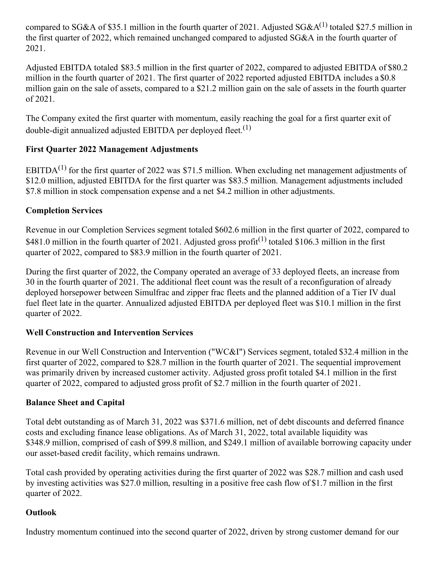compared to SG&A of \$35.1 million in the fourth quarter of 2021. Adjusted SG&A $^{(1)}$  totaled \$27.5 million in the first quarter of 2022, which remained unchanged compared to adjusted SG&A in the fourth quarter of 2021.

Adjusted EBITDA totaled \$83.5 million in the first quarter of 2022, compared to adjusted EBITDA of \$80.2 million in the fourth quarter of 2021. The first quarter of 2022 reported adjusted EBITDA includes a \$0.8 million gain on the sale of assets, compared to a \$21.2 million gain on the sale of assets in the fourth quarter of 2021.

The Company exited the first quarter with momentum, easily reaching the goal for a first quarter exit of double-digit annualized adjusted EBITDA per deployed fleet.<sup>(1)</sup>

## **First Quarter 2022 Management Adjustments**

EBITDA<sup>(1)</sup> for the first quarter of 2022 was \$71.5 million. When excluding net management adjustments of \$12.0 million, adjusted EBITDA for the first quarter was \$83.5 million. Management adjustments included \$7.8 million in stock compensation expense and a net \$4.2 million in other adjustments.

## **Completion Services**

Revenue in our Completion Services segment totaled \$602.6 million in the first quarter of 2022, compared to \$481.0 million in the fourth quarter of 2021. Adjusted gross profit<sup>(1)</sup> totaled \$106.3 million in the first quarter of 2022, compared to \$83.9 million in the fourth quarter of 2021.

During the first quarter of 2022, the Company operated an average of 33 deployed fleets, an increase from 30 in the fourth quarter of 2021. The additional fleet count was the result of a reconfiguration of already deployed horsepower between Simulfrac and zipper frac fleets and the planned addition of a Tier IV dual fuel fleet late in the quarter. Annualized adjusted EBITDA per deployed fleet was \$10.1 million in the first quarter of 2022.

## **Well Construction and Intervention Services**

Revenue in our Well Construction and Intervention ("WC&I") Services segment, totaled \$32.4 million in the first quarter of 2022, compared to \$28.7 million in the fourth quarter of 2021. The sequential improvement was primarily driven by increased customer activity. Adjusted gross profit totaled \$4.1 million in the first quarter of 2022, compared to adjusted gross profit of \$2.7 million in the fourth quarter of 2021.

## **Balance Sheet and Capital**

Total debt outstanding as of March 31, 2022 was \$371.6 million, net of debt discounts and deferred finance costs and excluding finance lease obligations. As of March 31, 2022, total available liquidity was \$348.9 million, comprised of cash of \$99.8 million, and \$249.1 million of available borrowing capacity under our asset-based credit facility, which remains undrawn.

Total cash provided by operating activities during the first quarter of 2022 was \$28.7 million and cash used by investing activities was \$27.0 million, resulting in a positive free cash flow of \$1.7 million in the first quarter of 2022.

## **Outlook**

Industry momentum continued into the second quarter of 2022, driven by strong customer demand for our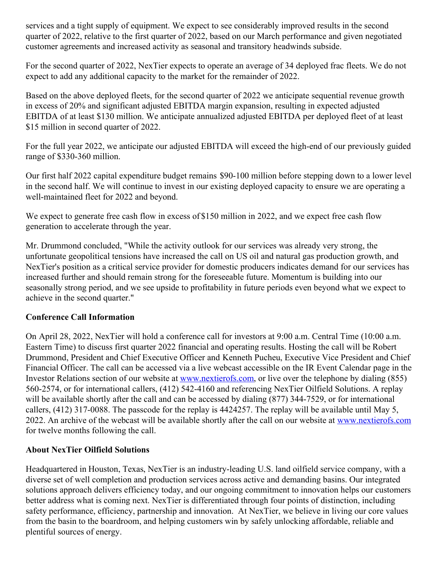services and a tight supply of equipment. We expect to see considerably improved results in the second quarter of 2022, relative to the first quarter of 2022, based on our March performance and given negotiated customer agreements and increased activity as seasonal and transitory headwinds subside.

For the second quarter of 2022, NexTier expects to operate an average of 34 deployed frac fleets. We do not expect to add any additional capacity to the market for the remainder of 2022.

Based on the above deployed fleets, for the second quarter of 2022 we anticipate sequential revenue growth in excess of 20% and significant adjusted EBITDA margin expansion, resulting in expected adjusted EBITDA of at least \$130 million. We anticipate annualized adjusted EBITDA per deployed fleet of at least \$15 million in second quarter of 2022.

For the full year 2022, we anticipate our adjusted EBITDA will exceed the high-end of our previously guided range of \$330-360 million.

Our first half 2022 capital expenditure budget remains \$90-100 million before stepping down to a lower level in the second half. We will continue to invest in our existing deployed capacity to ensure we are operating a well-maintained fleet for 2022 and beyond.

We expect to generate free cash flow in excess of \$150 million in 2022, and we expect free cash flow generation to accelerate through the year.

Mr. Drummond concluded, "While the activity outlook for our services was already very strong, the unfortunate geopolitical tensions have increased the call on US oil and natural gas production growth, and NexTier's position as a critical service provider for domestic producers indicates demand for our services has increased further and should remain strong for the foreseeable future. Momentum is building into our seasonally strong period, and we see upside to profitability in future periods even beyond what we expect to achieve in the second quarter."

## **Conference Call Information**

On April 28, 2022, NexTier will hold a conference call for investors at 9:00 a.m. Central Time (10:00 a.m. Eastern Time) to discuss first quarter 2022 financial and operating results. Hosting the call will be Robert Drummond, President and Chief Executive Officer and Kenneth Pucheu, Executive Vice President and Chief Financial Officer. The call can be accessed via a live webcast accessible on the IR Event Calendar page in the Investor Relations section of our website at [www.nextierofs.com](http://www.nextierofs.com), or live over the telephone by dialing (855) 560-2574, or for international callers, (412) 542-4160 and referencing NexTier Oilfield Solutions. A replay will be available shortly after the call and can be accessed by dialing (877) 344-7529, or for international callers, (412) 317-0088. The passcode for the replay is 4424257. The replay will be available until May 5, 2022. An archive of the webcast will be available shortly after the call on our website at [www.nextierofs.com](http://www.nextierofs.com) for twelve months following the call.

## **About NexTier Oilfield Solutions**

Headquartered in Houston, Texas, NexTier is an industry-leading U.S. land oilfield service company, with a diverse set of well completion and production services across active and demanding basins. Our integrated solutions approach delivers efficiency today, and our ongoing commitment to innovation helps our customers better address what is coming next. NexTier is differentiated through four points of distinction, including safety performance, efficiency, partnership and innovation. At NexTier, we believe in living our core values from the basin to the boardroom, and helping customers win by safely unlocking affordable, reliable and plentiful sources of energy.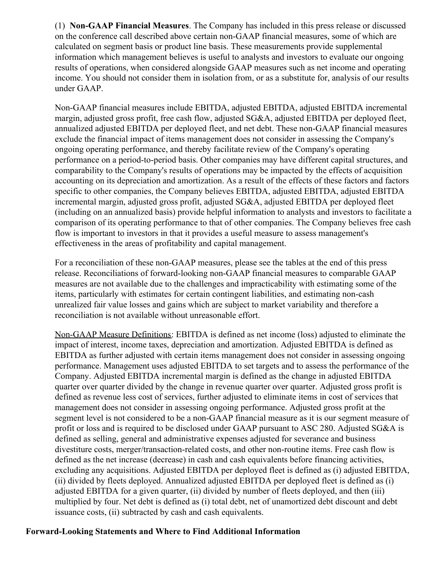(1) **Non-GAAP Financial Measures**. The Company has included in this press release or discussed on the conference call described above certain non-GAAP financial measures, some of which are calculated on segment basis or product line basis. These measurements provide supplemental information which management believes is useful to analysts and investors to evaluate our ongoing results of operations, when considered alongside GAAP measures such as net income and operating income. You should not consider them in isolation from, or as a substitute for, analysis of our results under GAAP.

Non-GAAP financial measures include EBITDA, adjusted EBITDA, adjusted EBITDA incremental margin, adjusted gross profit, free cash flow, adjusted SG&A, adjusted EBITDA per deployed fleet, annualized adjusted EBITDA per deployed fleet, and net debt. These non-GAAP financial measures exclude the financial impact of items management does not consider in assessing the Company's ongoing operating performance, and thereby facilitate review of the Company's operating performance on a period-to-period basis. Other companies may have different capital structures, and comparability to the Company's results of operations may be impacted by the effects of acquisition accounting on its depreciation and amortization. As a result of the effects of these factors and factors specific to other companies, the Company believes EBITDA, adjusted EBITDA, adjusted EBITDA incremental margin, adjusted gross profit, adjusted SG&A, adjusted EBITDA per deployed fleet (including on an annualized basis) provide helpful information to analysts and investors to facilitate a comparison of its operating performance to that of other companies. The Company believes free cash flow is important to investors in that it provides a useful measure to assess management's effectiveness in the areas of profitability and capital management.

For a reconciliation of these non-GAAP measures, please see the tables at the end of this press release. Reconciliations of forward-looking non-GAAP financial measures to comparable GAAP measures are not available due to the challenges and impracticability with estimating some of the items, particularly with estimates for certain contingent liabilities, and estimating non-cash unrealized fair value losses and gains which are subject to market variability and therefore a reconciliation is not available without unreasonable effort.

Non-GAAP Measure Definitions: EBITDA is defined as net income (loss) adjusted to eliminate the impact of interest, income taxes, depreciation and amortization. Adjusted EBITDA is defined as EBITDA as further adjusted with certain items management does not consider in assessing ongoing performance. Management uses adjusted EBITDA to set targets and to assess the performance of the Company. Adjusted EBITDA incremental margin is defined as the change in adjusted EBITDA quarter over quarter divided by the change in revenue quarter over quarter. Adjusted gross profit is defined as revenue less cost of services, further adjusted to eliminate items in cost of services that management does not consider in assessing ongoing performance. Adjusted gross profit at the segment level is not considered to be a non-GAAP financial measure as it is our segment measure of profit or loss and is required to be disclosed under GAAP pursuant to ASC 280. Adjusted SG&A is defined as selling, general and administrative expenses adjusted for severance and business divestiture costs, merger/transaction-related costs, and other non-routine items. Free cash flow is defined as the net increase (decrease) in cash and cash equivalents before financing activities, excluding any acquisitions. Adjusted EBITDA per deployed fleet is defined as (i) adjusted EBITDA, (ii) divided by fleets deployed. Annualized adjusted EBITDA per deployed fleet is defined as (i) adjusted EBITDA for a given quarter, (ii) divided by number of fleets deployed, and then (iii) multiplied by four. Net debt is defined as (i) total debt, net of unamortized debt discount and debt issuance costs, (ii) subtracted by cash and cash equivalents.

#### **Forward-Looking Statements and Where to Find Additional Information**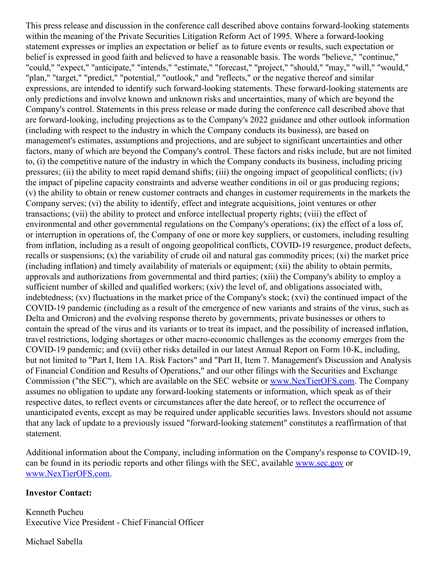This press release and discussion in the conference call described above contains forward-looking statements within the meaning of the Private Securities Litigation Reform Act of 1995. Where a forward-looking statement expresses or implies an expectation or belief as to future events or results, such expectation or belief is expressed in good faith and believed to have a reasonable basis. The words "believe," "continue," "could," "expect," "anticipate," "intends," "estimate," "forecast," "project," "should," "may," "will," "would," "plan," "target," "predict," "potential," "outlook," and "reflects," or the negative thereof and similar expressions, are intended to identify such forward-looking statements. These forward-looking statements are only predictions and involve known and unknown risks and uncertainties, many of which are beyond the Company's control. Statements in this press release or made during the conference call described above that are forward-looking, including projections as to the Company's 2022 guidance and other outlook information (including with respect to the industry in which the Company conducts its business), are based on management's estimates, assumptions and projections, and are subject to significant uncertainties and other factors, many of which are beyond the Company's control. These factors and risks include, but are not limited to, (i) the competitive nature of the industry in which the Company conducts its business, including pricing pressures; (ii) the ability to meet rapid demand shifts; (iii) the ongoing impact of geopolitical conflicts; (iv) the impact of pipeline capacity constraints and adverse weather conditions in oil or gas producing regions; (v) the ability to obtain or renew customer contracts and changes in customer requirements in the markets the Company serves; (vi) the ability to identify, effect and integrate acquisitions, joint ventures or other transactions; (vii) the ability to protect and enforce intellectual property rights; (viii) the effect of environmental and other governmental regulations on the Company's operations; (ix) the effect of a loss of, or interruption in operations of, the Company of one or more key suppliers, or customers, including resulting from inflation, including as a result of ongoing geopolitical conflicts, COVID-19 resurgence, product defects, recalls or suspensions; (x) the variability of crude oil and natural gas commodity prices; (xi) the market price (including inflation) and timely availability of materials or equipment; (xii) the ability to obtain permits, approvals and authorizations from governmental and third parties; (xiii) the Company's ability to employ a sufficient number of skilled and qualified workers; (xiv) the level of, and obligations associated with, indebtedness; (xv) fluctuations in the market price of the Company's stock; (xvi) the continued impact of the COVID-19 pandemic (including as a result of the emergence of new variants and strains of the virus, such as Delta and Omicron) and the evolving response thereto by governments, private businesses or others to contain the spread of the virus and its variants or to treat its impact, and the possibility of increased inflation, travel restrictions, lodging shortages or other macro-economic challenges as the economy emerges from the COVID-19 pandemic; and (xvii) other risks detailed in our latest Annual Report on Form 10-K, including, but not limited to "Part I, Item 1A. Risk Factors" and "Part II, Item 7. Management's Discussion and Analysis of Financial Condition and Results of Operations," and our other filings with the Securities and Exchange Commission ("the SEC"), which are available on the SEC website or [www.NexTierOFS.com](http://www.nextierofs.com). The Company assumes no obligation to update any forward-looking statements or information, which speak as of their respective dates, to reflect events or circumstances after the date hereof, or to reflect the occurrence of unanticipated events, except as may be required under applicable securities laws. Investors should not assume that any lack of update to a previously issued "forward-looking statement" constitutes a reaffirmation of that statement.

Additional information about the Company, including information on the Company's response to COVID-19, can be found in its periodic reports and other filings with the SEC, available [www.sec.gov](http://www.sec.gov) or [www.NexTierOFS.com](http://www.nextierofs.com).

#### **Investor Contact:**

Kenneth Pucheu Executive Vice President - Chief Financial Officer

Michael Sabella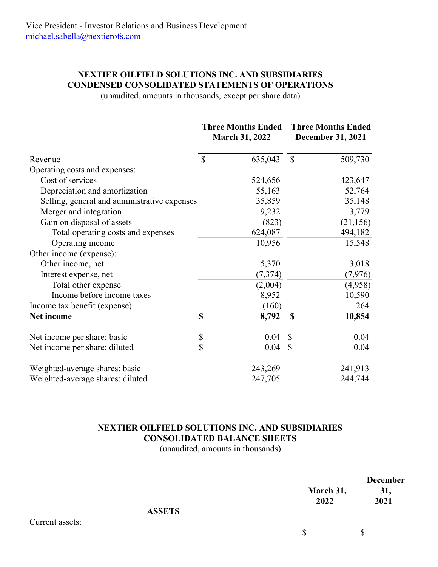## **NEXTIER OILFIELD SOLUTIONS INC. AND SUBSIDIARIES CONDENSED CONSOLIDATED STATEMENTS OF OPERATIONS**

(unaudited, amounts in thousands, except per share data)

|                                              | <b>Three Months Ended</b> |                       | <b>Three Months Ended</b> |                          |  |  |
|----------------------------------------------|---------------------------|-----------------------|---------------------------|--------------------------|--|--|
|                                              |                           | <b>March 31, 2022</b> |                           | <b>December 31, 2021</b> |  |  |
| Revenue                                      | $\mathcal{S}$             | 635,043               | $\mathbb{S}$              | 509,730                  |  |  |
| Operating costs and expenses:                |                           |                       |                           |                          |  |  |
| Cost of services                             |                           | 524,656               |                           | 423,647                  |  |  |
| Depreciation and amortization                |                           | 55,163                |                           | 52,764                   |  |  |
| Selling, general and administrative expenses |                           | 35,859                |                           | 35,148                   |  |  |
| Merger and integration                       |                           | 9,232                 |                           | 3,779                    |  |  |
| Gain on disposal of assets                   |                           | (823)                 |                           | (21, 156)                |  |  |
| Total operating costs and expenses           |                           | 624,087               |                           | 494,182                  |  |  |
| Operating income                             |                           | 10,956                |                           | 15,548                   |  |  |
| Other income (expense):                      |                           |                       |                           |                          |  |  |
| Other income, net                            |                           | 5,370                 |                           | 3,018                    |  |  |
| Interest expense, net                        |                           | (7, 374)              |                           | (7, 976)                 |  |  |
| Total other expense                          |                           | (2,004)               |                           | (4,958)                  |  |  |
| Income before income taxes                   |                           | 8,952                 |                           | 10,590                   |  |  |
| Income tax benefit (expense)                 |                           | (160)                 |                           | 264                      |  |  |
| Net income                                   | $\mathbf S$               | 8,792                 | \$                        | 10,854                   |  |  |
| Net income per share: basic                  | \$                        | 0.04                  | S                         | 0.04                     |  |  |
| Net income per share: diluted                | \$                        | 0.04                  | $\mathbb{S}$              | 0.04                     |  |  |
| Weighted-average shares: basic               |                           | 243,269               |                           | 241,913                  |  |  |
| Weighted-average shares: diluted             |                           | 247,705               |                           | 244,744                  |  |  |

## **NEXTIER OILFIELD SOLUTIONS INC. AND SUBSIDIARIES CONSOLIDATED BALANCE SHEETS**

(unaudited, amounts in thousands)

|                 | March 31,<br>2022 | <b>December</b><br>31,<br>2021 |
|-----------------|-------------------|--------------------------------|
|                 | <b>ASSETS</b>     |                                |
| Current assets: |                   |                                |
|                 | \$                | S                              |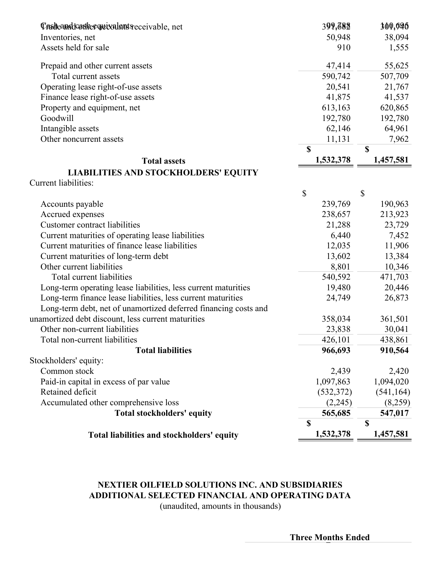| Casdeandcothe quivalent receivable, net                         | 399,682   | 300,696     |
|-----------------------------------------------------------------|-----------|-------------|
| Inventories, net                                                | 50,948    | 38,094      |
| Assets held for sale                                            | 910       | 1,555       |
| Prepaid and other current assets                                | 47,414    | 55,625      |
| Total current assets                                            | 590,742   | 507,709     |
| Operating lease right-of-use assets                             | 20,541    | 21,767      |
| Finance lease right-of-use assets                               | 41,875    | 41,537      |
| Property and equipment, net                                     | 613,163   | 620,865     |
| Goodwill                                                        | 192,780   | 192,780     |
| Intangible assets                                               | 62,146    | 64,961      |
| Other noncurrent assets                                         | 11,131    | 7,962       |
|                                                                 | \$        | $\mathbf S$ |
| <b>Total assets</b>                                             | 1,532,378 | 1,457,581   |
| <b>LIABILITIES AND STOCKHOLDERS' EQUITY</b>                     |           |             |
| <b>Current liabilities:</b>                                     |           |             |
|                                                                 | \$        | \$          |
| Accounts payable                                                | 239,769   | 190,963     |
| Accrued expenses                                                | 238,657   | 213,923     |
| <b>Customer contract liabilities</b>                            | 21,288    | 23,729      |
| Current maturities of operating lease liabilities               | 6,440     | 7,452       |
| Current maturities of finance lease liabilities                 | 12,035    | 11,906      |
| Current maturities of long-term debt                            | 13,602    | 13,384      |
| Other current liabilities                                       | 8,801     | 10,346      |
| Total current liabilities                                       | 540,592   | 471,703     |
| Long-term operating lease liabilities, less current maturities  | 19,480    | 20,446      |
| Long-term finance lease liabilities, less current maturities    | 24,749    | 26,873      |
| Long-term debt, net of unamortized deferred financing costs and |           |             |
| unamortized debt discount, less current maturities              | 358,034   | 361,501     |
| Other non-current liabilities                                   | 23,838    | 30,041      |
| Total non-current liabilities                                   | 426,101   | 438,861     |
| <b>Total liabilities</b>                                        | 966,693   | 910,564     |
| Stockholders' equity:                                           |           |             |
| Common stock                                                    | 2,439     | 2,420       |
| Paid-in capital in excess of par value                          | 1,097,863 | 1,094,020   |
| Retained deficit                                                | (532,372) | (541, 164)  |
| Accumulated other comprehensive loss                            | (2,245)   | (8,259)     |
| Total stockholders' equity                                      | 565,685   | 547,017     |
|                                                                 | \$        | $\mathbf S$ |
| Total liabilities and stockholders' equity                      | 1,532,378 | 1,457,581   |

## **NEXTIER OILFIELD SOLUTIONS INC. AND SUBSIDIARIES ADDITIONAL SELECTED FINANCIAL AND OPERATING DATA**

(unaudited, amounts in thousands)

**Three Months Ended**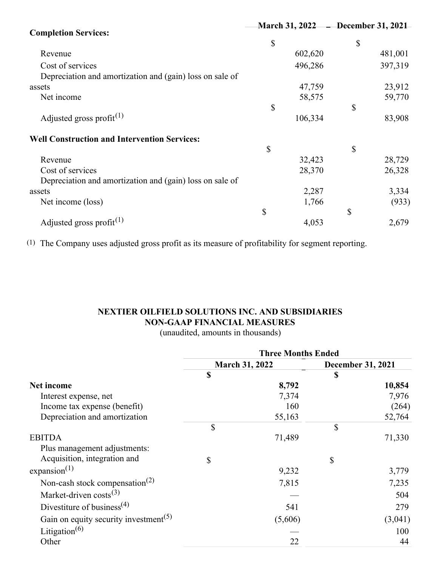|                                                          |    |         | March 31, 2022 – December 31, 2021 |         |  |
|----------------------------------------------------------|----|---------|------------------------------------|---------|--|
| <b>Completion Services:</b>                              |    |         |                                    |         |  |
|                                                          | \$ |         | \$                                 |         |  |
| Revenue                                                  |    | 602,620 |                                    | 481,001 |  |
| Cost of services                                         |    | 496,286 |                                    | 397,319 |  |
| Depreciation and amortization and (gain) loss on sale of |    |         |                                    |         |  |
| assets                                                   |    | 47,759  |                                    | 23,912  |  |
| Net income                                               |    | 58,575  |                                    | 59,770  |  |
|                                                          | \$ |         | \$                                 |         |  |
| Adjusted gross profit <sup>(1)</sup>                     |    | 106,334 |                                    | 83,908  |  |
| <b>Well Construction and Intervention Services:</b>      |    |         |                                    |         |  |
|                                                          | \$ |         | \$                                 |         |  |
| Revenue                                                  |    | 32,423  |                                    | 28,729  |  |
| Cost of services                                         |    | 28,370  |                                    | 26,328  |  |
| Depreciation and amortization and (gain) loss on sale of |    |         |                                    |         |  |
| assets                                                   |    | 2,287   |                                    | 3,334   |  |
| Net income (loss)                                        |    | 1,766   |                                    | (933)   |  |
|                                                          | \$ |         | \$                                 |         |  |
| Adjusted gross profit <sup>(1)</sup>                     |    | 4,053   |                                    | 2,679   |  |

(1) The Company uses adjusted gross profit as its measure of profitability for segment reporting.

## **NEXTIER OILFIELD SOLUTIONS INC. AND SUBSIDIARIES NON-GAAP FINANCIAL MEASURES**

(unaudited, amounts in thousands)

|                                                   | <b>Three Months Ended</b> |                       |                          |         |  |
|---------------------------------------------------|---------------------------|-----------------------|--------------------------|---------|--|
|                                                   |                           | <b>March 31, 2022</b> | <b>December 31, 2021</b> |         |  |
|                                                   | \$                        |                       | S                        |         |  |
| <b>Net income</b>                                 |                           | 8,792                 |                          | 10,854  |  |
| Interest expense, net                             |                           | 7,374                 |                          | 7,976   |  |
| Income tax expense (benefit)                      |                           | 160                   |                          | (264)   |  |
| Depreciation and amortization                     |                           | 55,163                |                          | 52,764  |  |
|                                                   | \$                        |                       | \$                       |         |  |
| <b>EBITDA</b>                                     |                           | 71,489                |                          | 71,330  |  |
| Plus management adjustments:                      |                           |                       |                          |         |  |
| Acquisition, integration and                      | \$                        |                       | \$                       |         |  |
| expansion $^{(1)}$                                |                           | 9,232                 |                          | 3,779   |  |
| Non-cash stock compensation <sup>(2)</sup>        |                           | 7,815                 |                          | 7,235   |  |
| Market-driven costs <sup>(3)</sup>                |                           |                       |                          | 504     |  |
| Divestiture of business <sup>(4)</sup>            |                           | 541                   |                          | 279     |  |
| Gain on equity security investment <sup>(5)</sup> |                           | (5,606)               |                          | (3,041) |  |
| Litigation <sup><math>(6)</math></sup>            |                           |                       |                          | 100     |  |
| Other                                             |                           | 22                    |                          | 44      |  |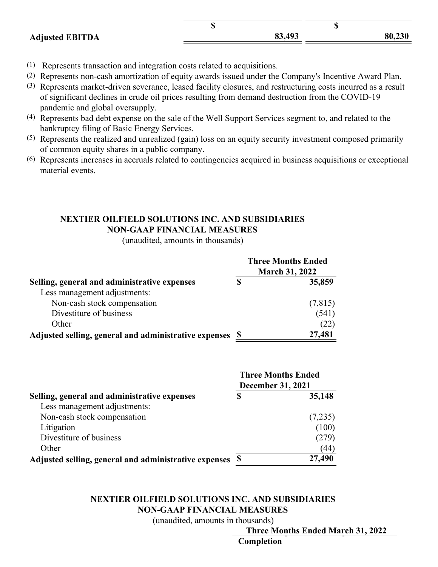|                        | w |        | w      |
|------------------------|---|--------|--------|
| <b>Adjusted EBITDA</b> |   | 83,493 | 80,230 |

- (1) Represents transaction and integration costs related to acquisitions.
- (2) Represents non-cash amortization of equity awards issued under the Company's Incentive Award Plan.
- (3) Represents market-driven severance, leased facility closures, and restructuring costs incurred as a result of significant declines in crude oil prices resulting from demand destruction from the COVID-19 pandemic and global oversupply.
- (4) Represents bad debt expense on the sale of the Well Support Services segment to, and related to the bankruptcy filing of Basic Energy Services.
- (5) Represents the realized and unrealized (gain) loss on an equity security investment composed primarily of common equity shares in a public company.
- (6) Represents increases in accruals related to contingencies acquired in business acquisitions or exceptional material events.

### **NEXTIER OILFIELD SOLUTIONS INC. AND SUBSIDIARIES NON-GAAP FINANCIAL MEASURES**

(unaudited, amounts in thousands)

|                                                       | <b>Three Months Ended</b><br><b>March 31, 2022</b> |         |  |  |
|-------------------------------------------------------|----------------------------------------------------|---------|--|--|
| Selling, general and administrative expenses          | \$                                                 | 35,859  |  |  |
| Less management adjustments:                          |                                                    |         |  |  |
| Non-cash stock compensation                           |                                                    | (7,815) |  |  |
| Divestiture of business                               |                                                    | (541)   |  |  |
| Other                                                 |                                                    | (22)    |  |  |
| Adjusted selling, general and administrative expenses | S                                                  | 27,481  |  |  |

|                                                       | <b>Three Months Ended</b><br><b>December 31, 2021</b> |         |  |  |
|-------------------------------------------------------|-------------------------------------------------------|---------|--|--|
| Selling, general and administrative expenses          | \$                                                    | 35,148  |  |  |
| Less management adjustments:                          |                                                       |         |  |  |
| Non-cash stock compensation                           |                                                       | (7,235) |  |  |
| Litigation                                            |                                                       | (100)   |  |  |
| Divestiture of business                               |                                                       | (279)   |  |  |
| Other                                                 |                                                       | (44)    |  |  |
| Adjusted selling, general and administrative expenses | S                                                     | 27,490  |  |  |

#### **NEXTIER OILFIELD SOLUTIONS INC. AND SUBSIDIARIES NON-GAAP FINANCIAL MEASURES**

(unaudited, amounts in thousands)

**Three Months Ended March 31, 2022**

**Completion**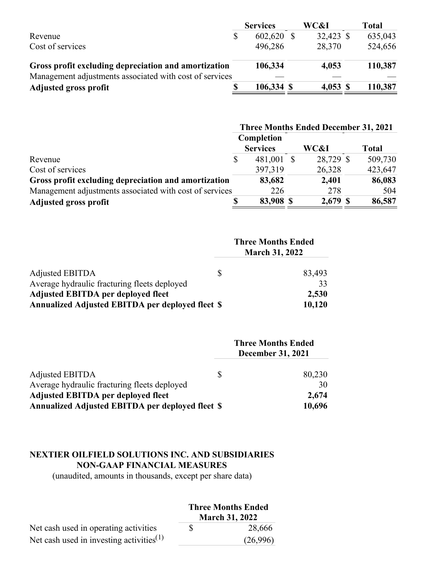|                                                         | <b>Services</b> | WC&I       | <b>Total</b> |
|---------------------------------------------------------|-----------------|------------|--------------|
| Revenue                                                 | 602,620         | 32,423 \$  | 635,043      |
| Cost of services                                        | 496,286         | 28,370     | 524,656      |
| Gross profit excluding depreciation and amortization    | 106,334         | 4,053      | 110,387      |
| Management adjustments associated with cost of services |                 |            |              |
| <b>Adjusted gross profit</b>                            | 106,334 \$      | $4,053$ \$ | 110,387      |

|                                                         | <b>Three Months Ended December 31, 2021</b> |                 |  |           |  |              |
|---------------------------------------------------------|---------------------------------------------|-----------------|--|-----------|--|--------------|
|                                                         |                                             | Completion      |  |           |  |              |
|                                                         |                                             | <b>Services</b> |  | WC&I      |  | <b>Total</b> |
| Revenue                                                 | \$                                          | 481,001         |  | 28,729 \$ |  | 509,730      |
| Cost of services                                        |                                             | 397,319         |  | 26,328    |  | 423,647      |
| Gross profit excluding depreciation and amortization    |                                             | 83,682          |  | 2,401     |  | 86,083       |
| Management adjustments associated with cost of services |                                             | 226             |  | 278       |  | 504          |
| <b>Adjusted gross profit</b>                            |                                             | 83,908 \$       |  | 2,679 \$  |  | 86,587       |

|                                                  | <b>Three Months Ended</b> |        |  |
|--------------------------------------------------|---------------------------|--------|--|
| Adjusted EBITDA                                  | S                         | 83,493 |  |
| Average hydraulic fracturing fleets deployed     |                           | 33     |  |
| <b>Adjusted EBITDA per deployed fleet</b>        |                           | 2,530  |  |
| Annualized Adjusted EBITDA per deployed fleet \$ |                           | 10,120 |  |

|                                                         |   | <b>Three Months Ended</b><br><b>December 31, 2021</b> |
|---------------------------------------------------------|---|-------------------------------------------------------|
| <b>Adjusted EBITDA</b>                                  | S | 80,230                                                |
| Average hydraulic fracturing fleets deployed            |   | 30                                                    |
| <b>Adjusted EBITDA per deployed fleet</b>               |   | 2,674                                                 |
| <b>Annualized Adjusted EBITDA per deployed fleet \$</b> |   | 10,696                                                |

## **NEXTIER OILFIELD SOLUTIONS INC. AND SUBSIDIARIES NON-GAAP FINANCIAL MEASURES**

(unaudited, amounts in thousands, except per share data)

|                                             | <b>Three Months Ended</b><br><b>March 31, 2022</b> |          |  |
|---------------------------------------------|----------------------------------------------------|----------|--|
| Net cash used in operating activities       | S                                                  | 28,666   |  |
| Net cash used in investing activities $(1)$ |                                                    | (26,996) |  |